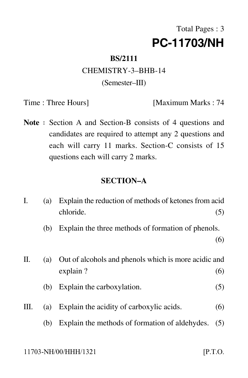# Total Pages : 3 **PC-11703/NH**

#### **BS/2111**

## CHEMISTRY-3–BHB-14 (Semester–III)

Time : Three Hours] [Maximum Marks : 74

Note : Section A and Section-B consists of 4 questions and candidates are required to attempt any 2 questions and each will carry 11 marks. Section-C consists of 15 questions each will carry 2 marks.

### **SECTION–A**

| I.   | (a) | Explain the reduction of methods of ketones from acid<br>chloride. | (5) |
|------|-----|--------------------------------------------------------------------|-----|
|      | (b) | Explain the three methods of formation of phenols.                 |     |
|      |     |                                                                    | (6) |
| П.   |     | (a) Out of alcohols and phenols which is more acidic and           |     |
|      |     | explain?                                                           | (6) |
|      | (b) | Explain the carboxylation.                                         | (5) |
| III. | (a) | Explain the acidity of carboxylic acids.                           | (6) |
|      | (b) | Explain the methods of formation of aldehydes.                     | (5) |
|      |     |                                                                    |     |

 $[$ P.T.O.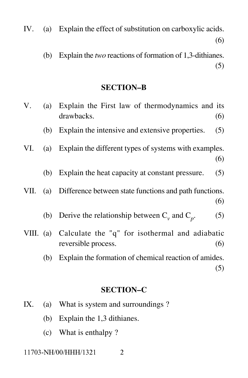- IV. (a) Explain the effect of substitution on carboxylic acids. (6)
	- (b) Explain the *two* reactions of formation of 1,3-dithianes. (5)

### **SECTION–B**

| V.   | (a)                                                           | Explain the First law of thermodynamics and its<br>drawbacks.                   | (6) |
|------|---------------------------------------------------------------|---------------------------------------------------------------------------------|-----|
|      | (b)                                                           | Explain the intensive and extensive properties.                                 | (5) |
| VI.  | (a)                                                           | Explain the different types of systems with examples.                           | (6) |
|      | (b)                                                           | Explain the heat capacity at constant pressure.                                 | (5) |
| VII. | Difference between state functions and path functions.<br>(a) |                                                                                 | (6) |
|      | (b)                                                           | Derive the relationship between $C_v$ and $C_p$ .                               | (5) |
|      |                                                               | VIII. (a) Calculate the "q" for isothermal and adiabatic<br>reversible process. | (6) |
|      | (b)                                                           | Explain the formation of chemical reaction of amides.                           | (5) |

#### **SECTION–C**

- IX. (a) What is system and surroundings ?
	- (b) Explain the 1,3 dithianes.
	- (c) What is enthalpy ?

11703-NH/00/HHH/1321

 $\overline{2}$